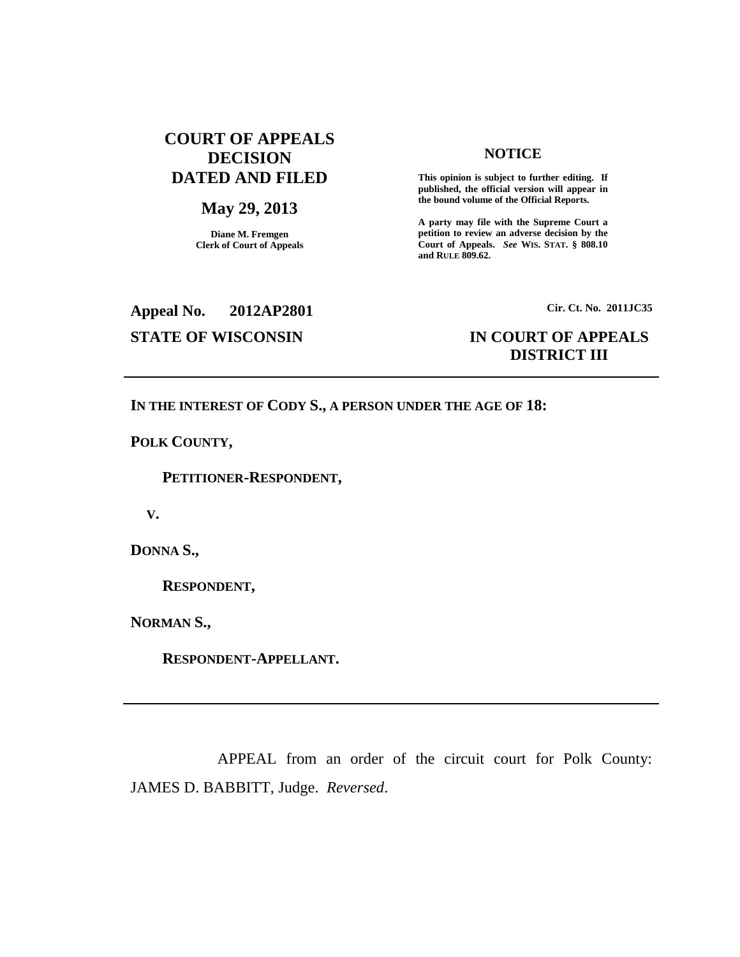# **COURT OF APPEALS DECISION DATED AND FILED**

## **May 29, 2013**

**Diane M. Fremgen Clerk of Court of Appeals**

#### **NOTICE**

**This opinion is subject to further editing. If published, the official version will appear in the bound volume of the Official Reports.**

**A party may file with the Supreme Court a petition to review an adverse decision by the Court of Appeals.** *See* **WIS. STAT. § 808.10 and RULE 809.62.**

**Appeal No. 2012AP2801**

**Cir. Ct. No. 2011JC35**

## **STATE OF WISCONSIN IN COURT OF APPEALS DISTRICT III**

### **IN THE INTEREST OF CODY S., A PERSON UNDER THE AGE OF 18:**

**POLK COUNTY,**

**PETITIONER-RESPONDENT,**

**V.**

**DONNA S.,**

**RESPONDENT,**

**NORMAN S.,**

**RESPONDENT-APPELLANT.**

APPEAL from an order of the circuit court for Polk County: JAMES D. BABBITT, Judge. *Reversed*.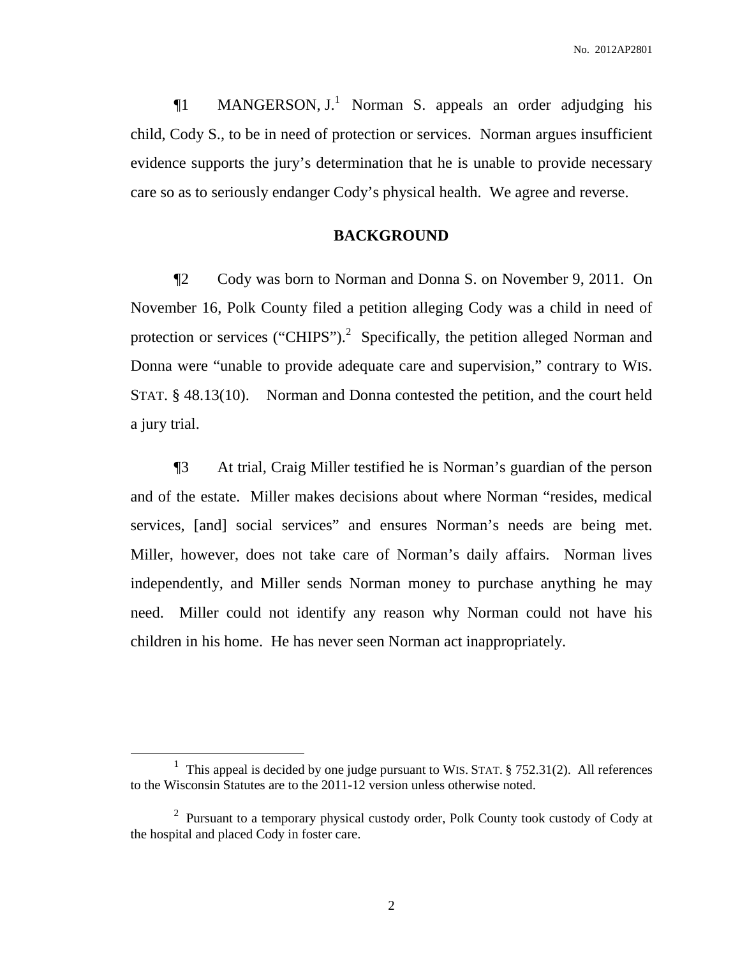¶1 MANGERSON, J. <sup>1</sup> Norman S. appeals an order adjudging his child, Cody S., to be in need of protection or services. Norman argues insufficient evidence supports the jury's determination that he is unable to provide necessary care so as to seriously endanger Cody's physical health. We agree and reverse.

## **BACKGROUND**

¶2 Cody was born to Norman and Donna S. on November 9, 2011. On November 16, Polk County filed a petition alleging Cody was a child in need of protection or services ("CHIPS").<sup>2</sup> Specifically, the petition alleged Norman and Donna were "unable to provide adequate care and supervision," contrary to WIS. STAT. § 48.13(10). Norman and Donna contested the petition, and the court held a jury trial.

¶3 At trial, Craig Miller testified he is Norman's guardian of the person and of the estate. Miller makes decisions about where Norman "resides, medical services, [and] social services" and ensures Norman's needs are being met. Miller, however, does not take care of Norman's daily affairs. Norman lives independently, and Miller sends Norman money to purchase anything he may need. Miller could not identify any reason why Norman could not have his children in his home. He has never seen Norman act inappropriately.

<sup>&</sup>lt;sup>1</sup> This appeal is decided by one judge pursuant to WIS. STAT. § 752.31(2). All references to the Wisconsin Statutes are to the 2011-12 version unless otherwise noted.

 $2$  Pursuant to a temporary physical custody order, Polk County took custody of Cody at the hospital and placed Cody in foster care.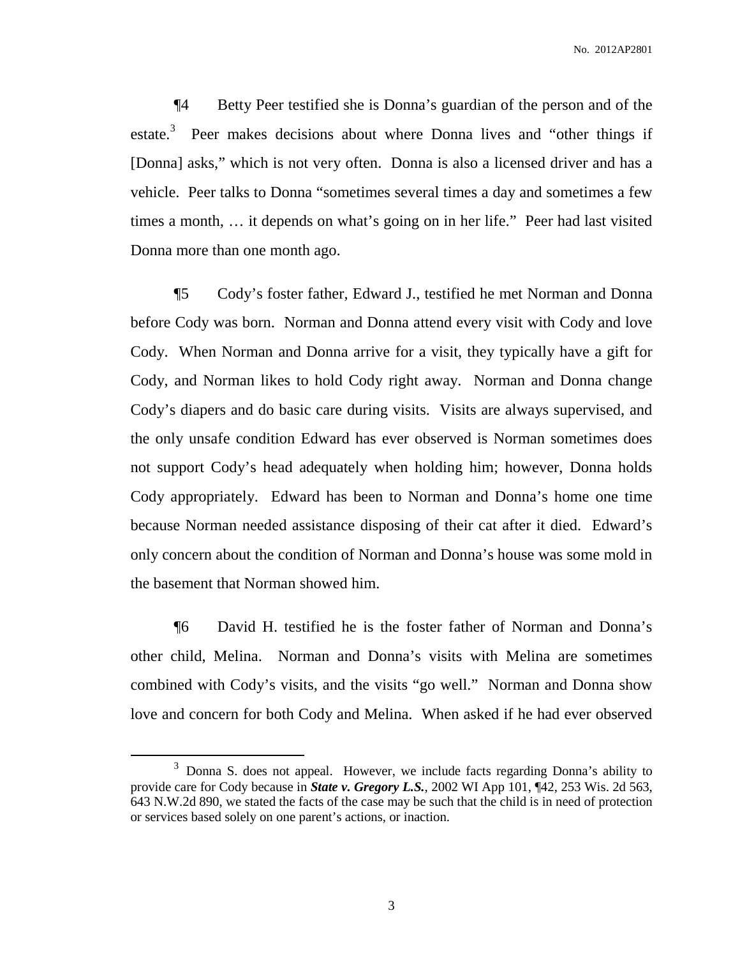¶4 Betty Peer testified she is Donna's guardian of the person and of the estate.<sup>3</sup> Peer makes decisions about where Donna lives and "other things if [Donna] asks," which is not very often. Donna is also a licensed driver and has a vehicle. Peer talks to Donna "sometimes several times a day and sometimes a few times a month, … it depends on what's going on in her life." Peer had last visited Donna more than one month ago.

¶5 Cody's foster father, Edward J., testified he met Norman and Donna before Cody was born. Norman and Donna attend every visit with Cody and love Cody. When Norman and Donna arrive for a visit, they typically have a gift for Cody, and Norman likes to hold Cody right away. Norman and Donna change Cody's diapers and do basic care during visits. Visits are always supervised, and the only unsafe condition Edward has ever observed is Norman sometimes does not support Cody's head adequately when holding him; however, Donna holds Cody appropriately. Edward has been to Norman and Donna's home one time because Norman needed assistance disposing of their cat after it died. Edward's only concern about the condition of Norman and Donna's house was some mold in the basement that Norman showed him.

¶6 David H. testified he is the foster father of Norman and Donna's other child, Melina. Norman and Donna's visits with Melina are sometimes combined with Cody's visits, and the visits "go well." Norman and Donna show love and concern for both Cody and Melina. When asked if he had ever observed

<sup>3</sup> Donna S. does not appeal. However, we include facts regarding Donna's ability to provide care for Cody because in *State v. Gregory L.S.*, 2002 WI App 101, ¶42, 253 Wis. 2d 563, 643 N.W.2d 890, we stated the facts of the case may be such that the child is in need of protection or services based solely on one parent's actions, or inaction.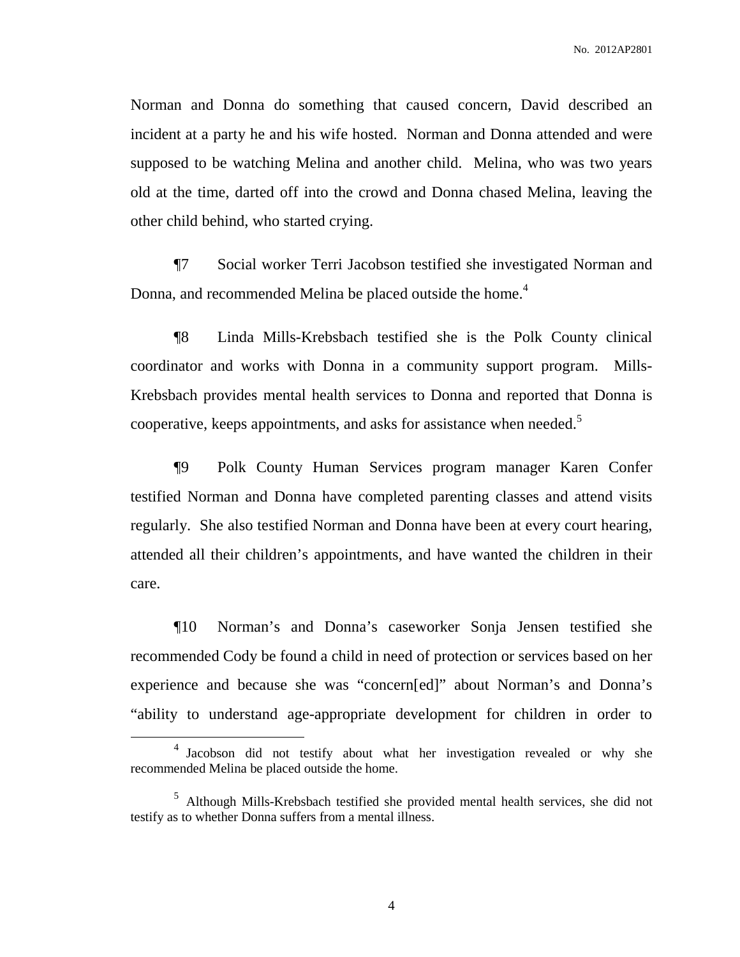Norman and Donna do something that caused concern, David described an incident at a party he and his wife hosted. Norman and Donna attended and were supposed to be watching Melina and another child. Melina, who was two years old at the time, darted off into the crowd and Donna chased Melina, leaving the other child behind, who started crying.

¶7 Social worker Terri Jacobson testified she investigated Norman and Donna, and recommended Melina be placed outside the home.<sup>4</sup>

¶8 Linda Mills-Krebsbach testified she is the Polk County clinical coordinator and works with Donna in a community support program. Mills-Krebsbach provides mental health services to Donna and reported that Donna is cooperative, keeps appointments, and asks for assistance when needed.<sup>5</sup>

¶9 Polk County Human Services program manager Karen Confer testified Norman and Donna have completed parenting classes and attend visits regularly. She also testified Norman and Donna have been at every court hearing, attended all their children's appointments, and have wanted the children in their care.

¶10 Norman's and Donna's caseworker Sonja Jensen testified she recommended Cody be found a child in need of protection or services based on her experience and because she was "concern[ed]" about Norman's and Donna's "ability to understand age-appropriate development for children in order to

<sup>&</sup>lt;sup>4</sup> Jacobson did not testify about what her investigation revealed or why she recommended Melina be placed outside the home.

<sup>5</sup> Although Mills-Krebsbach testified she provided mental health services, she did not testify as to whether Donna suffers from a mental illness.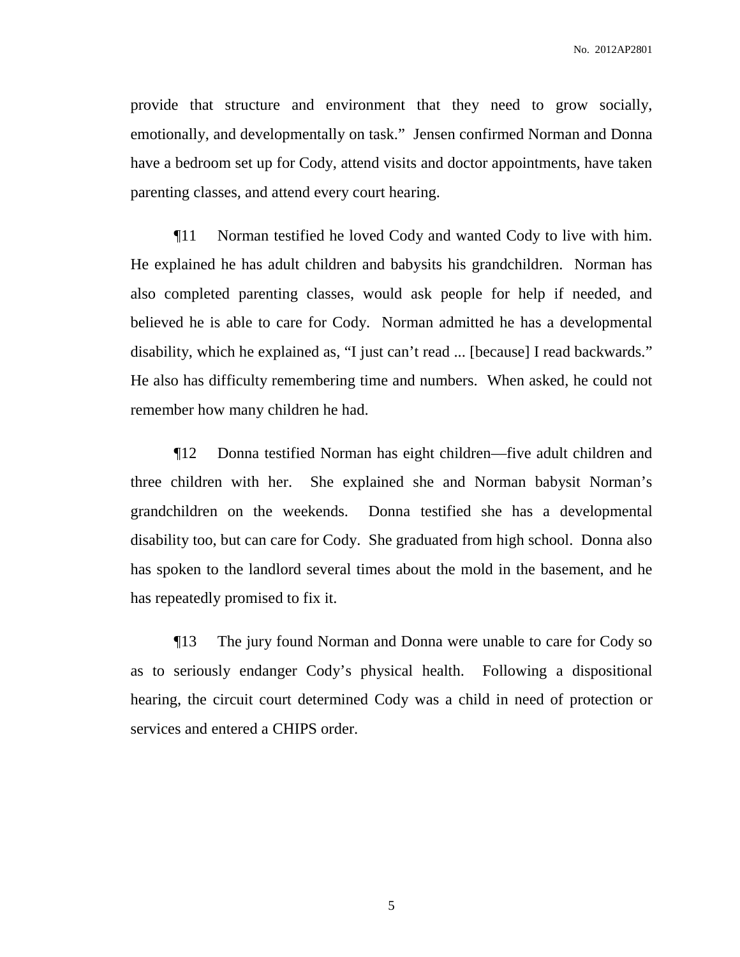provide that structure and environment that they need to grow socially, emotionally, and developmentally on task." Jensen confirmed Norman and Donna have a bedroom set up for Cody, attend visits and doctor appointments, have taken parenting classes, and attend every court hearing.

¶11 Norman testified he loved Cody and wanted Cody to live with him. He explained he has adult children and babysits his grandchildren. Norman has also completed parenting classes, would ask people for help if needed, and believed he is able to care for Cody. Norman admitted he has a developmental disability, which he explained as, "I just can't read ... [because] I read backwards." He also has difficulty remembering time and numbers. When asked, he could not remember how many children he had.

¶12 Donna testified Norman has eight children—five adult children and three children with her. She explained she and Norman babysit Norman's grandchildren on the weekends. Donna testified she has a developmental disability too, but can care for Cody. She graduated from high school. Donna also has spoken to the landlord several times about the mold in the basement, and he has repeatedly promised to fix it.

¶13 The jury found Norman and Donna were unable to care for Cody so as to seriously endanger Cody's physical health. Following a dispositional hearing, the circuit court determined Cody was a child in need of protection or services and entered a CHIPS order.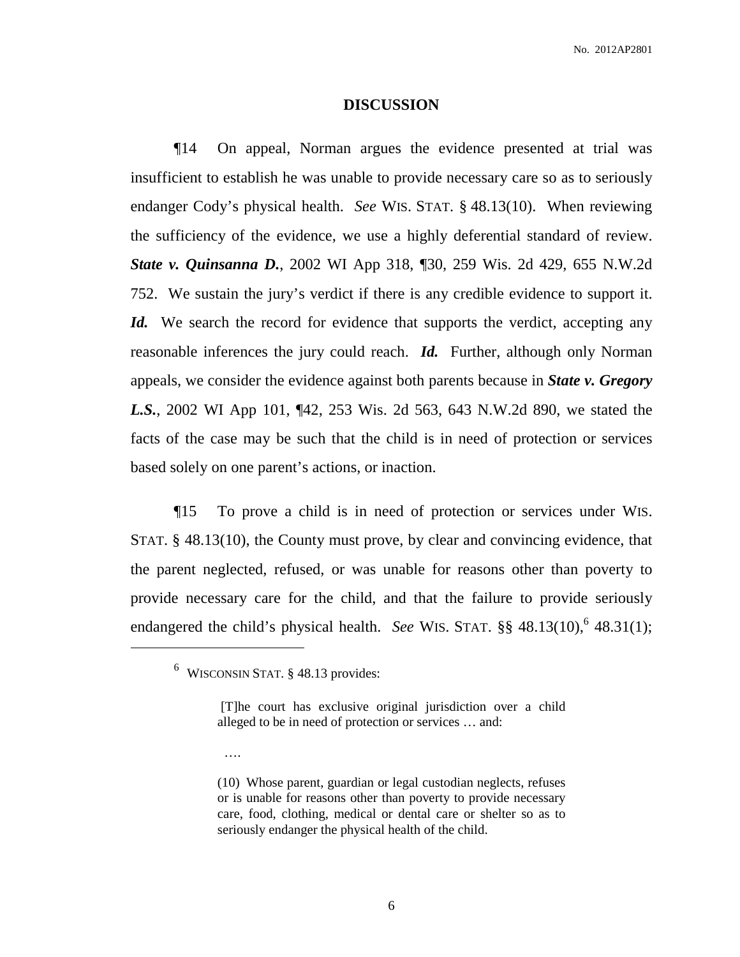#### **DISCUSSION**

¶14 On appeal, Norman argues the evidence presented at trial was insufficient to establish he was unable to provide necessary care so as to seriously endanger Cody's physical health. *See* WIS. STAT. § 48.13(10). When reviewing the sufficiency of the evidence, we use a highly deferential standard of review. *State v. Quinsanna D.*, 2002 WI App 318, ¶30, 259 Wis. 2d 429, 655 N.W.2d 752. We sustain the jury's verdict if there is any credible evidence to support it. *Id.* We search the record for evidence that supports the verdict, accepting any reasonable inferences the jury could reach. *Id.* Further, although only Norman appeals, we consider the evidence against both parents because in *State v. Gregory L.S.*, 2002 WI App 101, ¶42, 253 Wis. 2d 563, 643 N.W.2d 890, we stated the facts of the case may be such that the child is in need of protection or services based solely on one parent's actions, or inaction.

¶15 To prove a child is in need of protection or services under WIS. STAT. § 48.13(10), the County must prove, by clear and convincing evidence, that the parent neglected, refused, or was unable for reasons other than poverty to provide necessary care for the child, and that the failure to provide seriously endangered the child's physical health. *See* WIS. STAT. §§ 48.13(10),<sup>6</sup> 48.31(1);

….

<sup>6</sup> WISCONSIN STAT. § 48.13 provides:

<sup>[</sup>T]he court has exclusive original jurisdiction over a child alleged to be in need of protection or services … and:

<sup>(10)</sup> Whose parent, guardian or legal custodian neglects, refuses or is unable for reasons other than poverty to provide necessary care, food, clothing, medical or dental care or shelter so as to seriously endanger the physical health of the child.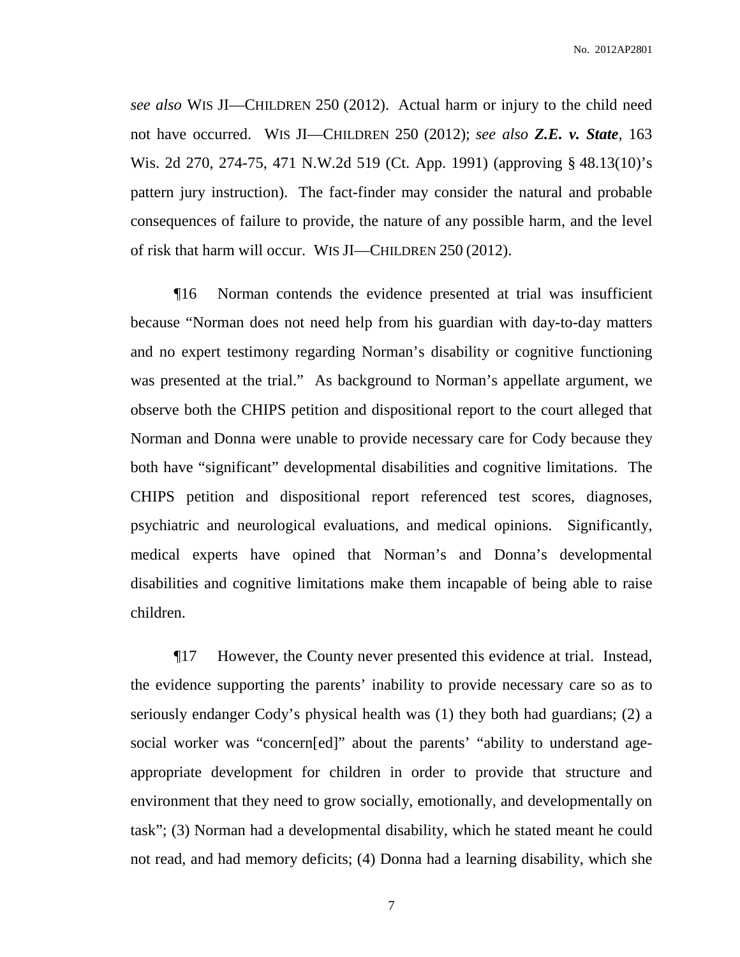*see also* WIS JI—CHILDREN 250 (2012). Actual harm or injury to the child need not have occurred. WIS JI—CHILDREN 250 (2012); *see also Z.E. v. State*, 163 Wis. 2d 270, 274-75, 471 N.W.2d 519 (Ct. App. 1991) (approving § 48.13(10)'s pattern jury instruction). The fact-finder may consider the natural and probable consequences of failure to provide, the nature of any possible harm, and the level of risk that harm will occur. WIS JI—CHILDREN 250 (2012).

¶16 Norman contends the evidence presented at trial was insufficient because "Norman does not need help from his guardian with day-to-day matters and no expert testimony regarding Norman's disability or cognitive functioning was presented at the trial." As background to Norman's appellate argument, we observe both the CHIPS petition and dispositional report to the court alleged that Norman and Donna were unable to provide necessary care for Cody because they both have "significant" developmental disabilities and cognitive limitations. The CHIPS petition and dispositional report referenced test scores, diagnoses, psychiatric and neurological evaluations, and medical opinions. Significantly, medical experts have opined that Norman's and Donna's developmental disabilities and cognitive limitations make them incapable of being able to raise children.

¶17 However, the County never presented this evidence at trial. Instead, the evidence supporting the parents' inability to provide necessary care so as to seriously endanger Cody's physical health was (1) they both had guardians; (2) a social worker was "concern[ed]" about the parents' "ability to understand ageappropriate development for children in order to provide that structure and environment that they need to grow socially, emotionally, and developmentally on task"; (3) Norman had a developmental disability, which he stated meant he could not read, and had memory deficits; (4) Donna had a learning disability, which she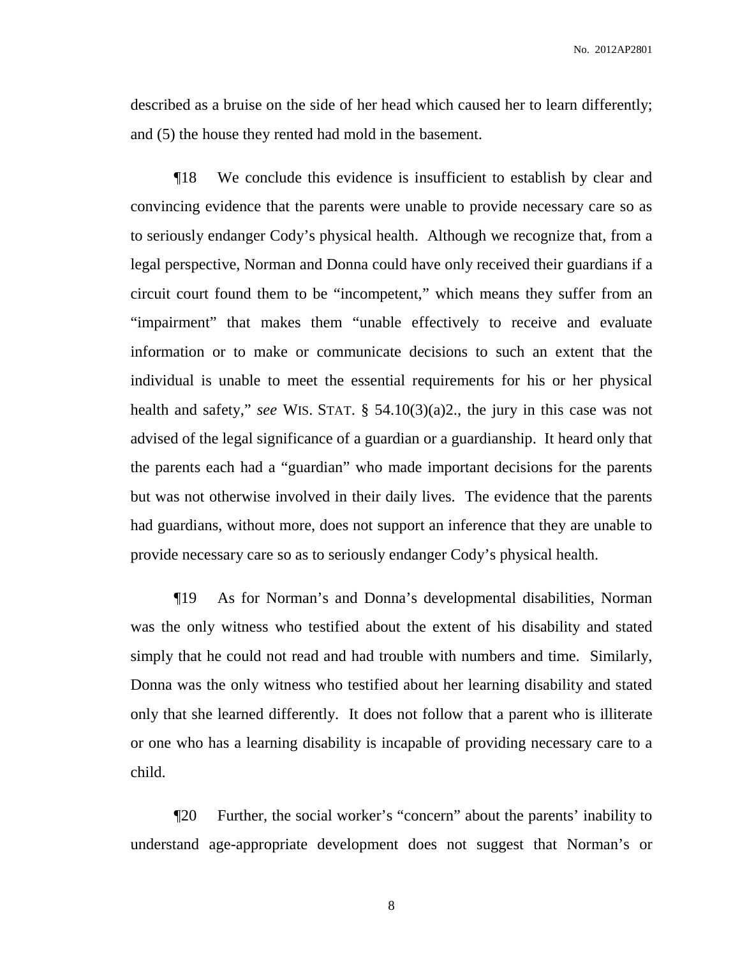No. 2012AP2801

described as a bruise on the side of her head which caused her to learn differently; and (5) the house they rented had mold in the basement.

¶18 We conclude this evidence is insufficient to establish by clear and convincing evidence that the parents were unable to provide necessary care so as to seriously endanger Cody's physical health. Although we recognize that, from a legal perspective, Norman and Donna could have only received their guardians if a circuit court found them to be "incompetent," which means they suffer from an "impairment" that makes them "unable effectively to receive and evaluate information or to make or communicate decisions to such an extent that the individual is unable to meet the essential requirements for his or her physical health and safety," *see* WIS. STAT. § 54.10(3)(a)2., the jury in this case was not advised of the legal significance of a guardian or a guardianship. It heard only that the parents each had a "guardian" who made important decisions for the parents but was not otherwise involved in their daily lives. The evidence that the parents had guardians, without more, does not support an inference that they are unable to provide necessary care so as to seriously endanger Cody's physical health.

¶19 As for Norman's and Donna's developmental disabilities, Norman was the only witness who testified about the extent of his disability and stated simply that he could not read and had trouble with numbers and time. Similarly, Donna was the only witness who testified about her learning disability and stated only that she learned differently. It does not follow that a parent who is illiterate or one who has a learning disability is incapable of providing necessary care to a child.

¶20 Further, the social worker's "concern" about the parents' inability to understand age-appropriate development does not suggest that Norman's or